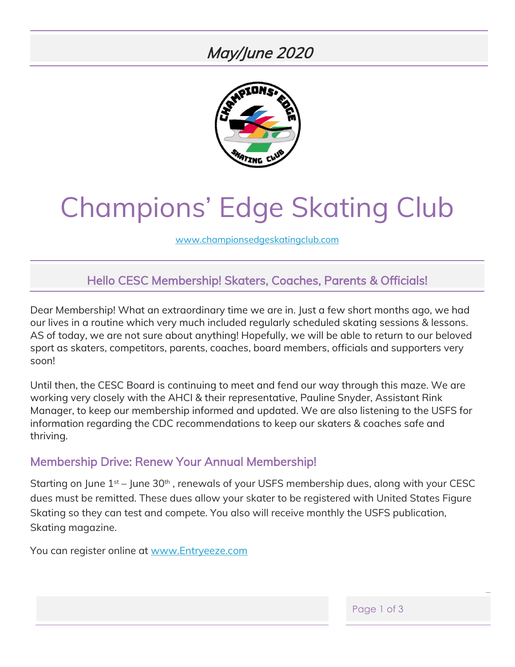# May/June 2020



# Champions' Edge Skating Club

[www.championsedgeskatingclub.com](http://www.championsedgeskatingclub.com/)

### Hello CESC Membership! Skaters, Coaches, Parents & Officials!

Dear Membership! What an extraordinary time we are in. Just a few short months ago, we had our lives in a routine which very much included regularly scheduled skating sessions & lessons. AS of today, we are not sure about anything! Hopefully, we will be able to return to our beloved sport as skaters, competitors, parents, coaches, board members, officials and supporters very soon!

Until then, the CESC Board is continuing to meet and fend our way through this maze. We are working very closely with the AHCI & their representative, Pauline Snyder, Assistant Rink Manager, to keep our membership informed and updated. We are also listening to the USFS for information regarding the CDC recommendations to keep our skaters & coaches safe and thriving.

#### Membership Drive: Renew Your Annual Membership!

Starting on June  $1^{st}$  – June 30<sup>th</sup>, renewals of your USFS membership dues, along with your CESC dues must be remitted. These dues allow your skater to be registered with United States Figure Skating so they can test and compete. You also will receive monthly the USFS publication, Skating magazine.

You can register online at [www.Entryeeze.com](http://www.entryeeze.com/)

Page 1 of 3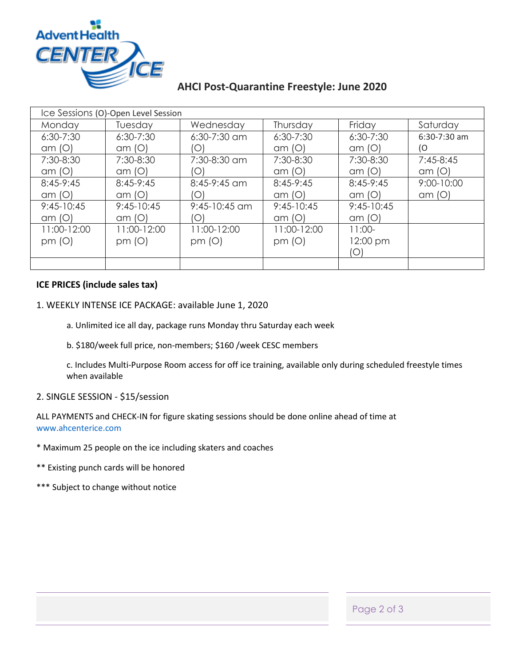

#### **AHCI Post-Quarantine Freestyle: June 2020**

| Ice Sessions (O)-Open Level Session |               |                 |               |               |                |  |  |
|-------------------------------------|---------------|-----------------|---------------|---------------|----------------|--|--|
| Monday                              | Tuesday       | Wednesday       | Thursday      | Friday        | Saturday       |  |  |
| $6:30 - 7:30$                       | $6:30 - 7:30$ | $6:30-7:30$ am  | $6:30 - 7:30$ | $6:30 - 7:30$ | $6:30-7:30$ am |  |  |
| am(O)                               | am(O)         | O               | am(O)         | am(O)         | (O             |  |  |
| 7:30-8:30                           | 7:30-8:30     | 7:30-8:30 am    | 7:30-8:30     | 7:30-8:30     | $7:45-8:45$    |  |  |
| am(O)                               | am(O)         | O               | am(O)         | am(O)         | am(O)          |  |  |
| 8:45-9:45                           | $8:45-9:45$   | $8:45-9:45$ am  | $8:45-9:45$   | 8:45-9:45     | 9:00-10:00     |  |  |
| am(O)                               | am(O)         | O               | am(O)         | am(O)         | am(O)          |  |  |
| $9:45-10:45$                        | $9:45-10:45$  | $9:45-10:45$ am | $9:45-10:45$  | $9:45-10:45$  |                |  |  |
| am(O)                               | am(O)         | O               | am(O)         | am(O)         |                |  |  |
| 11:00-12:00                         | 11:00-12:00   | 11:00-12:00     | 11:00-12:00   | $11:00-$      |                |  |  |
| pm (O)                              | pm (O)        | pm $(O)$        | pm (O)        | 12:00 pm      |                |  |  |
|                                     |               |                 |               | $\circ$       |                |  |  |
|                                     |               |                 |               |               |                |  |  |

#### **ICE PRICES (include sales tax)**

- 1. WEEKLY INTENSE ICE PACKAGE: available June 1, 2020
	- a. Unlimited ice all day, package runs Monday thru Saturday each week
	- b. \$180/week full price, non-members; \$160 /week CESC members

c. Includes Multi-Purpose Room access for off ice training, available only during scheduled freestyle times when available

#### 2. SINGLE SESSION - \$15/session

ALL PAYMENTS and CHECK-IN for figure skating sessions should be done online ahead of time at www.ahcenterice.com

- \* Maximum 25 people on the ice including skaters and coaches
- \*\* Existing punch cards will be honored
- \*\*\* Subject to change without notice

Page 2 of 3